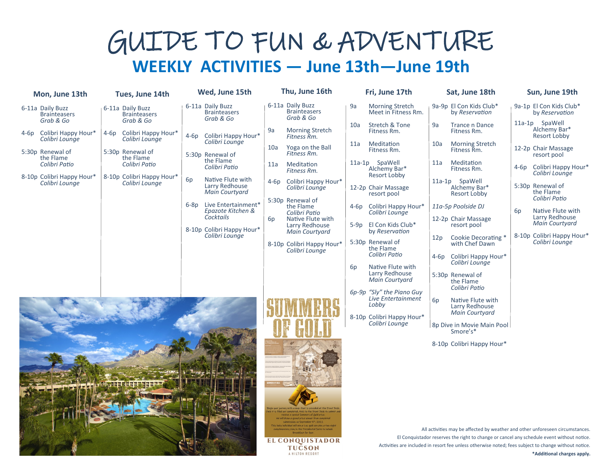## GUIDE TO FUN & ADVENTURE **WEEKLY ACTIVITIES — June 13th—June 19th**

**Thu, June 16th**

| Mon, June 13th                                       | Tues, June 14th                                        | Wed, June 15th                                                     | Thu, June 16th                                                                                                                                                        | Fri, June 17th                                           | Sat, June 18th                                                                                       | Sun, June 19th                                 |
|------------------------------------------------------|--------------------------------------------------------|--------------------------------------------------------------------|-----------------------------------------------------------------------------------------------------------------------------------------------------------------------|----------------------------------------------------------|------------------------------------------------------------------------------------------------------|------------------------------------------------|
| 6-11a Daily Buzz<br><b>Brainteasers</b><br>Grab & Go | 6-11a Daily Buzz<br><b>Brainteasers</b><br>Grab & Go   | 6-11a Daily Buzz<br><b>Brainteasers</b><br>Grab & Go               | 6-11a Daily Buzz<br><b>Brainteasers</b><br>Grab & Go                                                                                                                  | <b>Morning Stretch</b><br>9a<br>Meet in Fitness Rm.      | 9a-9p El Con Kids Club*<br>by Reservation                                                            | 9a-1p El Con Kids Club*<br>by Reservation      |
| 4-6p Colibri Happy Hour*<br>Colibri Lounge           | 4-6p Colibri Happy Hour <sup>*</sup><br>Colibri Lounge | Colibri Happy Hour*<br>4-6p                                        | 9a<br><b>Morning Stretch</b><br>Fitness Rm.                                                                                                                           | Stretch & Tone<br>10a<br>Fitness Rm.                     | <b>Trance n Dance</b><br>9a<br>Fitness Rm.                                                           | 11a-1p SpaWell<br>Alchemy Bar*<br>Resort Lobby |
| 5:30p Renewal of<br>the Flame                        | 5:30p Renewal of<br>the Flame                          | Colibri Lounge<br>5:30p Renewal of                                 | Yoga on the Ball<br>10a<br>Fitness Rm.                                                                                                                                | Meditation<br>11a<br>Fitness Rm.                         | 10a<br>Morning Stretch<br>Fitness Rm.                                                                | 12-2p Chair Massage<br>resort pool             |
| Colibri Patio                                        | Colibri Patio                                          | the Flame<br>Colibri Patio                                         | Meditation<br>11a<br>Fitness Rm.                                                                                                                                      | 11a-1p SpaWell<br>Alchemy Bar*<br>Resort Lobby           | Meditation<br>11a<br>Fitness Rm.                                                                     | Colibri Happy Hour*<br>4-6p<br>Colibri Lounge  |
| 8-10p Colibri Happy Hour*<br>Colibri Lounge          | 8-10p Colibri Happy Hour*<br>Colibri Lounge            | 6p<br>Native Flute with<br>Larry Redhouse<br><b>Main Courtyard</b> | Colibri Happy Hour*<br>4-6p<br>Colibri Lounge                                                                                                                         | 12-2p Chair Massage<br>resort pool                       | 11a-1p SpaWell<br>Alchemy Bar*<br><b>Resort Lobby</b>                                                | 5:30p Renewal of<br>the Flame                  |
|                                                      |                                                        | Live Entertainment*<br>$6-8p$<br>Epazote Kitchen &                 | 5:30p Renewal of<br>the Flame<br>Colibri Patio                                                                                                                        | Colibri Happy Hour*<br>4-6p<br>Colibri Lounge            | 11a-5p Poolside DJ                                                                                   | Colibri Patio<br>Native Flute with<br>6p       |
|                                                      |                                                        | Cocktails<br>8-10p Colibri Happy Hour*                             | Native Flute with<br>6 <sub>D</sub><br>Larry Redhouse<br><b>Main Courtyard</b>                                                                                        | El Con Kids Club*<br>5-9p<br>by Reservation              | 12-2p Chair Massage<br>resort pool                                                                   | Larry Redhouse<br>Main Courtyard               |
|                                                      |                                                        | Colibri Lounge                                                     | 8-10p Colibri Happy Hour*<br>Colibri Lounge                                                                                                                           | 5:30p Renewal of<br>the Flame                            | Cookie Decorating *<br>12 <sub>D</sub><br>with Chef Dawn                                             | 8-10p Colibri Happy Hour*<br>Colibri Lounge    |
|                                                      |                                                        |                                                                    |                                                                                                                                                                       | Colibri Patio<br>Native Flute with<br>6 <sub>p</sub>     | 4-6p Colibri Happy Hour*<br>Colibri Lounge                                                           |                                                |
|                                                      |                                                        |                                                                    |                                                                                                                                                                       | Larry Redhouse<br><b>Main Courtyard</b>                  | 5:30p Renewal of<br>the Flame<br>Colibri Patio                                                       |                                                |
|                                                      |                                                        |                                                                    |                                                                                                                                                                       | 6p-9p "Sly" the Piano Guy<br>Live Entertainment<br>Lobby | 6 <sub>p</sub><br>Native Flute with<br>Larry Redhouse                                                |                                                |
|                                                      |                                                        |                                                                    |                                                                                                                                                                       | 8-10p Colibri Happy Hour*<br>Colibri Lounge              | Main Courtyard                                                                                       |                                                |
|                                                      |                                                        |                                                                    |                                                                                                                                                                       |                                                          | 8p Dive in Movie Main Pool<br>Smore's*                                                               |                                                |
|                                                      |                                                        |                                                                    |                                                                                                                                                                       |                                                          | 8-10p Colibri Happy Hour*                                                                            |                                                |
|                                                      |                                                        |                                                                    |                                                                                                                                                                       |                                                          |                                                                                                      |                                                |
|                                                      |                                                        |                                                                    |                                                                                                                                                                       |                                                          |                                                                                                      |                                                |
|                                                      |                                                        |                                                                    |                                                                                                                                                                       |                                                          |                                                                                                      |                                                |
|                                                      |                                                        |                                                                    | to will draw a grand prise winner from comp<br>individual will win a 1 or gold coin plus a two nigh<br>ay in the Presidential Suite to include<br>Breakfast for four. |                                                          | All activities may be affected by weather and other unforeseen circumstances.                        |                                                |
|                                                      |                                                        |                                                                    | <b>EL CONQUISTADOR</b>                                                                                                                                                |                                                          | El Conquistador reserves the right to change or cancel any schedule event without notice.            |                                                |
|                                                      |                                                        |                                                                    | <b>TUCSON</b><br>A HILTON RESORT                                                                                                                                      |                                                          | Activities are included in resort fee unless otherwise noted; fees subject to change without notice. | *Additional charges apply.                     |

**\*Additional charges apply.**